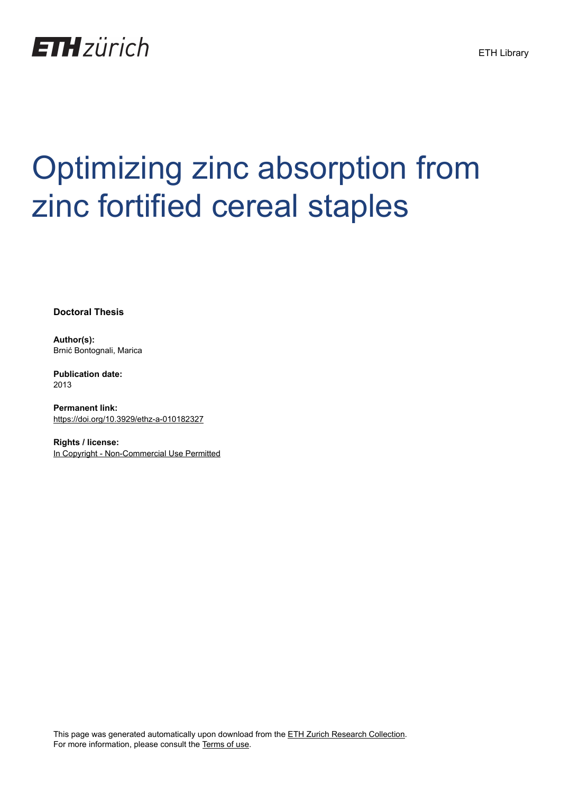

# Optimizing zinc absorption from zinc fortified cereal staples

**Doctoral Thesis**

**Author(s):** Brnić Bontognali, Marica

**Publication date:** 2013

**Permanent link:** <https://doi.org/10.3929/ethz-a-010182327>

**Rights / license:** [In Copyright - Non-Commercial Use Permitted](http://rightsstatements.org/page/InC-NC/1.0/)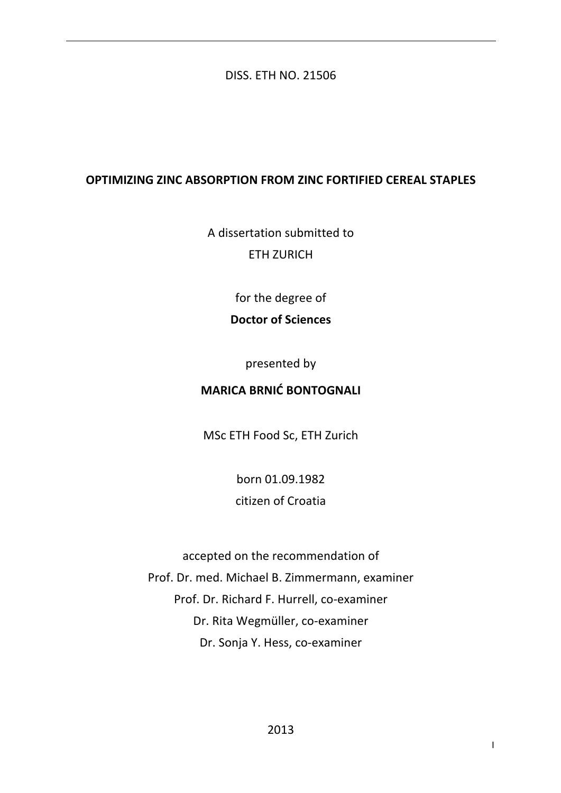## DISS. ETH NO. 21506

## **OPTIMIZING ZINC ABSORPTION FROM ZINC FORTIFIED CEREAL STAPLES**

A dissertation submitted to **FTH ZURICH** 

for the degree of

# **Doctor of Sciences**

presented by

# **MARICA BRNIĆ BONTOGNALI**

MSc ETH Food Sc, ETH Zurich

born 01.09.1982 citizen of Croatia 

accepted on the recommendation of Prof. Dr. med. Michael B. Zimmermann, examiner Prof. Dr. Richard F. Hurrell, co-examiner Dr. Rita Wegmüller, co-examiner Dr. Sonja Y. Hess, co-examiner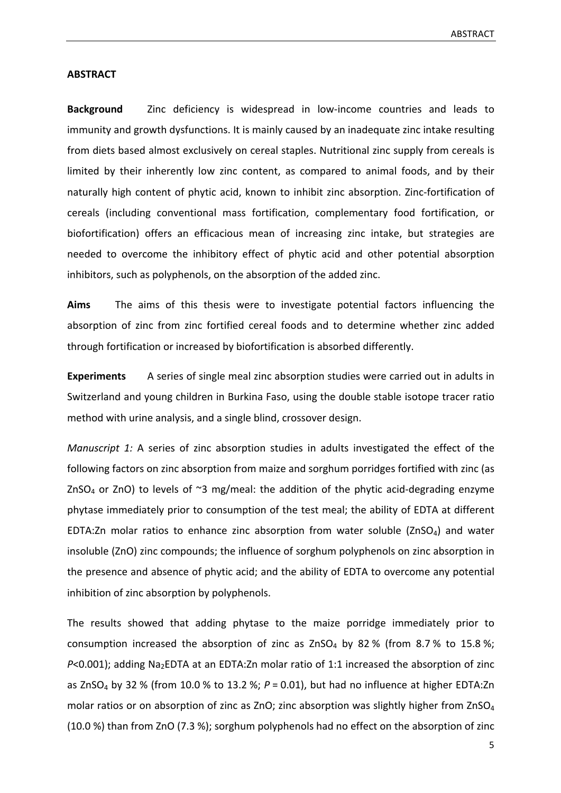#### **ABSTRACT**

**Background** Zinc deficiency is widespread in low-income countries and leads to immunity and growth dysfunctions. It is mainly caused by an inadequate zinc intake resulting from diets based almost exclusively on cereal staples. Nutritional zinc supply from cereals is limited by their inherently low zinc content, as compared to animal foods, and by their naturally high content of phytic acid, known to inhibit zinc absorption. Zinc-fortification of cereals (including conventional mass fortification, complementary food fortification, or biofortification) offers an efficacious mean of increasing zinc intake, but strategies are needed to overcome the inhibitory effect of phytic acid and other potential absorption inhibitors, such as polyphenols, on the absorption of the added zinc.

Aims The aims of this thesis were to investigate potential factors influencing the absorption of zinc from zinc fortified cereal foods and to determine whether zinc added through fortification or increased by biofortification is absorbed differently.

**Experiments** A series of single meal zinc absorption studies were carried out in adults in Switzerland and young children in Burkina Faso, using the double stable isotope tracer ratio method with urine analysis, and a single blind, crossover design.

*Manuscript 1:* A series of zinc absorption studies in adults investigated the effect of the following factors on zinc absorption from maize and sorghum porridges fortified with zinc (as ZnSO<sub>4</sub> or ZnO) to levels of  $\sim$ 3 mg/meal: the addition of the phytic acid-degrading enzyme phytase immediately prior to consumption of the test meal; the ability of EDTA at different EDTA:Zn molar ratios to enhance zinc absorption from water soluble (ZnSO<sub>4</sub>) and water insoluble (ZnO) zinc compounds; the influence of sorghum polyphenols on zinc absorption in the presence and absence of phytic acid; and the ability of EDTA to overcome any potential inhibition of zinc absorption by polyphenols.

The results showed that adding phytase to the maize porridge immediately prior to consumption increased the absorption of zinc as  $ZnSO_4$  by 82 % (from 8.7 % to 15.8 %; *P*<0.001); adding Na<sub>2</sub>EDTA at an EDTA:Zn molar ratio of 1:1 increased the absorption of zinc as ZnSO<sub>4</sub> by 32 % (from 10.0 % to 13.2 %;  $P = 0.01$ ), but had no influence at higher EDTA:Zn molar ratios or on absorption of zinc as ZnO; zinc absorption was slightly higher from ZnSO<sub>4</sub> (10.0 %) than from ZnO (7.3 %); sorghum polyphenols had no effect on the absorption of zinc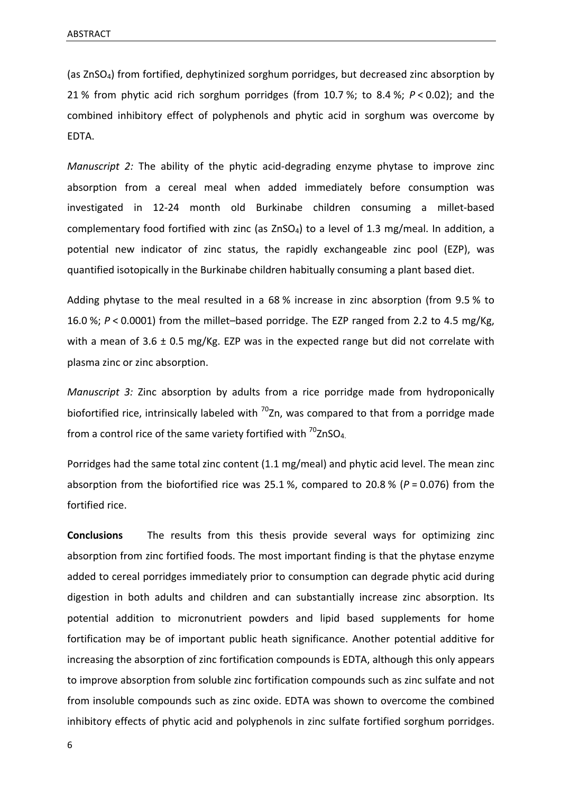(as ZnSO<sub>4</sub>) from fortified, dephytinized sorghum porridges, but decreased zinc absorption by 21 % from phytic acid rich sorghum porridges (from  $10.7$  %; to 8.4 %;  $P < 0.02$ ); and the combined inhibitory effect of polyphenols and phytic acid in sorghum was overcome by EDTA.

*Manuscript* 2: The ability of the phytic acid-degrading enzyme phytase to improve zinc absorption from a cereal meal when added immediately before consumption was investigated in 12-24 month old Burkinabe children consuming a millet-based complementary food fortified with zinc (as  $ZnSO<sub>4</sub>$ ) to a level of 1.3 mg/meal. In addition, a potential new indicator of zinc status, the rapidly exchangeable zinc pool (EZP), was quantified isotopically in the Burkinabe children habitually consuming a plant based diet.

Adding phytase to the meal resulted in a 68 % increase in zinc absorption (from 9.5 % to 16.0 %;  $P < 0.0001$  from the millet-based porridge. The EZP ranged from 2.2 to 4.5 mg/Kg, with a mean of 3.6  $\pm$  0.5 mg/Kg. EZP was in the expected range but did not correlate with plasma zinc or zinc absorption.

*Manuscript* 3: Zinc absorption by adults from a rice porridge made from hydroponically biofortified rice, intrinsically labeled with  $^{70}$ Zn, was compared to that from a porridge made from a control rice of the same variety fortified with  $\frac{70}{2}$ nSO<sub>4.</sub>

Porridges had the same total zinc content  $(1.1 \text{ mg/mcal})$  and phytic acid level. The mean zinc absorption from the biofortified rice was 25.1 %, compared to 20.8 % ( $P = 0.076$ ) from the fortified rice.

**Conclusions** The results from this thesis provide several ways for optimizing zinc absorption from zinc fortified foods. The most important finding is that the phytase enzyme added to cereal porridges immediately prior to consumption can degrade phytic acid during digestion in both adults and children and can substantially increase zinc absorption. Its potential addition to micronutrient powders and lipid based supplements for home fortification may be of important public heath significance. Another potential additive for increasing the absorption of zinc fortification compounds is EDTA, although this only appears to improve absorption from soluble zinc fortification compounds such as zinc sulfate and not from insoluble compounds such as zinc oxide. EDTA was shown to overcome the combined inhibitory effects of phytic acid and polyphenols in zinc sulfate fortified sorghum porridges.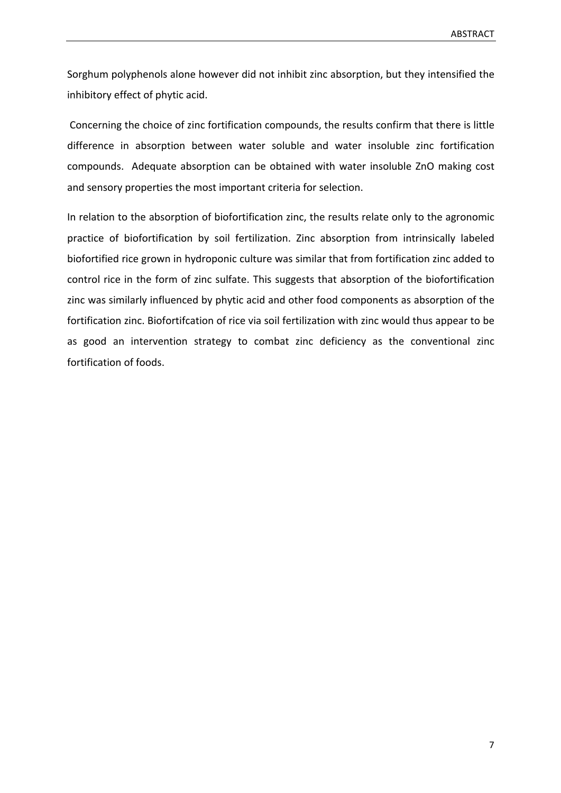Sorghum polyphenols alone however did not inhibit zinc absorption, but they intensified the inhibitory effect of phytic acid.

Concerning the choice of zinc fortification compounds, the results confirm that there is little difference in absorption between water soluble and water insoluble zinc fortification compounds. Adequate absorption can be obtained with water insoluble ZnO making cost and sensory properties the most important criteria for selection.

In relation to the absorption of biofortification zinc, the results relate only to the agronomic practice of biofortification by soil fertilization. Zinc absorption from intrinsically labeled biofortified rice grown in hydroponic culture was similar that from fortification zinc added to control rice in the form of zinc sulfate. This suggests that absorption of the biofortification zinc was similarly influenced by phytic acid and other food components as absorption of the fortification zinc. Biofortifcation of rice via soil fertilization with zinc would thus appear to be as good an intervention strategy to combat zinc deficiency as the conventional zinc fortification of foods.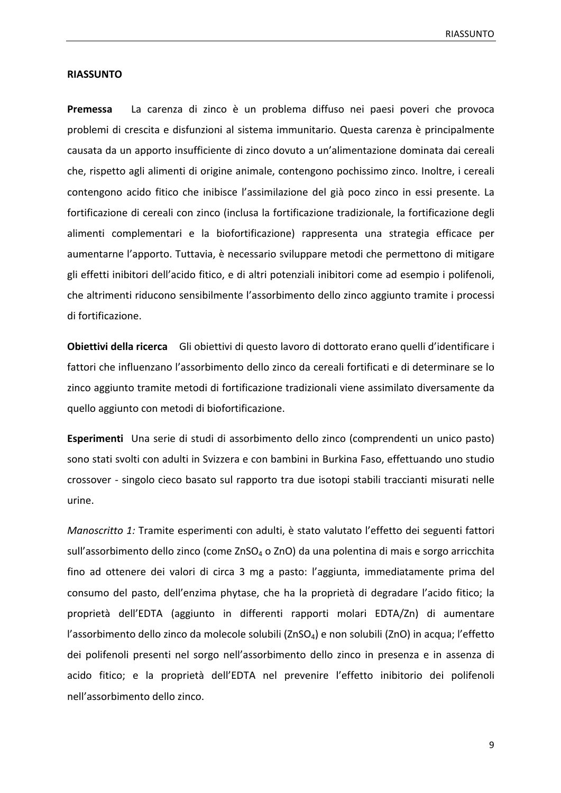#### **RIASSUNTO**

**Premessa** La carenza di zinco è un problema diffuso nei paesi poveri che provoca problemi di crescita e disfunzioni al sistema immunitario. Questa carenza è principalmente causata da un apporto insufficiente di zinco dovuto a un'alimentazione dominata dai cereali che, rispetto agli alimenti di origine animale, contengono pochissimo zinco. Inoltre, i cereali contengono acido fitico che inibisce l'assimilazione del già poco zinco in essi presente. La fortificazione di cereali con zinco (inclusa la fortificazione tradizionale, la fortificazione degli alimenti complementari e la biofortificazione) rappresenta una strategia efficace per aumentarne l'apporto. Tuttavia, è necessario sviluppare metodi che permettono di mitigare gli effetti inibitori dell'acido fitico, e di altri potenziali inibitori come ad esempio i polifenoli, che altrimenti riducono sensibilmente l'assorbimento dello zinco aggiunto tramite i processi di fortificazione.

**Obiettivi della ricerca** Gli obiettivi di questo lavoro di dottorato erano quelli d'identificare i fattori che influenzano l'assorbimento dello zinco da cereali fortificati e di determinare se lo zinco aggiunto tramite metodi di fortificazione tradizionali viene assimilato diversamente da quello aggiunto con metodi di biofortificazione.

**Esperimenti** Una serie di studi di assorbimento dello zinco (comprendenti un unico pasto) sono stati svolti con adulti in Svizzera e con bambini in Burkina Faso, effettuando uno studio crossover *-* singolo cieco basato sul rapporto tra due isotopi stabili traccianti misurati nelle urine. 

*Manoscritto 1:* Tramite esperimenti con adulti, è stato valutato l'effetto dei seguenti fattori sull'assorbimento dello zinco (come ZnSO<sub>4</sub> o ZnO) da una polentina di mais e sorgo arricchita fino ad ottenere dei valori di circa 3 mg a pasto: l'aggiunta, immediatamente prima del consumo del pasto, dell'enzima phytase, che ha la proprietà di degradare l'acido fitico; la proprietà dell'EDTA (aggiunto in differenti rapporti molari EDTA/Zn) di aumentare l'assorbimento dello zinco da molecole solubili (ZnSO<sub>4</sub>) e non solubili (ZnO) in acqua; l'effetto dei polifenoli presenti nel sorgo nell'assorbimento dello zinco in presenza e in assenza di acido fitico; e la proprietà dell'EDTA nel prevenire l'effetto inibitorio dei polifenoli nell'assorbimento dello zinco.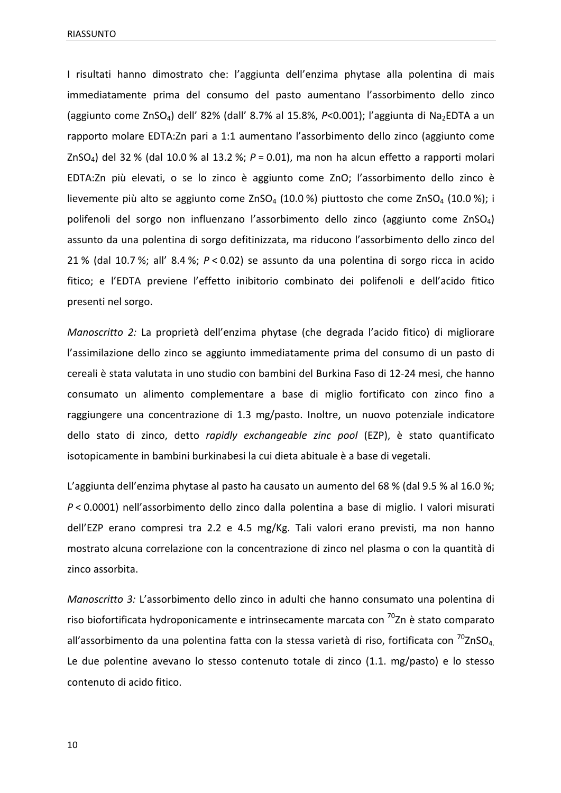I risultati hanno dimostrato che: l'aggiunta dell'enzima phytase alla polentina di mais immediatamente prima del consumo del pasto aumentano l'assorbimento dello zinco (aggiunto come ZnSO<sub>4</sub>) dell' 82% (dall' 8.7% al 15.8%,  $P<0.001$ ); l'aggiunta di Na<sub>2</sub>EDTA a un rapporto molare EDTA:Zn pari a 1:1 aumentano l'assorbimento dello zinco (aggiunto come ZnSO<sub>4</sub>) del 32 % (dal 10.0 % al 13.2 %;  $P = 0.01$ ), ma non ha alcun effetto a rapporti molari EDTA:Zn più elevati, o se lo zinco è aggiunto come ZnO; l'assorbimento dello zinco è lievemente più alto se aggiunto come ZnSO<sub>4</sub> (10.0 %) piuttosto che come ZnSO<sub>4</sub> (10.0 %); i polifenoli del sorgo non influenzano l'assorbimento dello zinco (aggiunto come ZnSO<sub>4</sub>) assunto da una polentina di sorgo defitinizzata, ma riducono l'assorbimento dello zinco del 21 % (dal 10.7 %; all' 8.4 %;  $P < 0.02$ ) se assunto da una polentina di sorgo ricca in acido fitico; e l'EDTA previene l'effetto inibitorio combinato dei polifenoli e dell'acido fitico presenti nel sorgo.

*Manoscritto 2:* La proprietà dell'enzima phytase (che degrada l'acido fitico) di migliorare l'assimilazione dello zinco se aggiunto immediatamente prima del consumo di un pasto di cereali è stata valutata in uno studio con bambini del Burkina Faso di 12-24 mesi, che hanno consumato un alimento complementare a base di miglio fortificato con zinco fino a raggiungere una concentrazione di 1.3 mg/pasto. Inoltre, un nuovo potenziale indicatore dello stato di zinco, detto rapidly exchangeable zinc pool (EZP), è stato quantificato isotopicamente in bambini burkinabesi la cui dieta abituale è a base di vegetali.

L'aggiunta dell'enzima phytase al pasto ha causato un aumento del 68 % (dal 9.5 % al 16.0 %; *P* < 0.0001) nell'assorbimento dello zinco dalla polentina a base di miglio. I valori misurati dell'EZP erano compresi tra 2.2 e 4.5 mg/Kg. Tali valori erano previsti, ma non hanno mostrato alcuna correlazione con la concentrazione di zinco nel plasma o con la quantità di zinco assorbita.

*Manoscritto 3:* L'assorbimento dello zinco in adulti che hanno consumato una polentina di riso biofortificata hydroponicamente e intrinsecamente marcata con  $\frac{70}{2}$ n è stato comparato all'assorbimento da una polentina fatta con la stessa varietà di riso, fortificata con  $^{70}$ ZnSO<sub>4.</sub> Le due polentine avevano lo stesso contenuto totale di zinco  $(1.1. mg/pasto)$  e lo stesso contenuto di acido fitico.